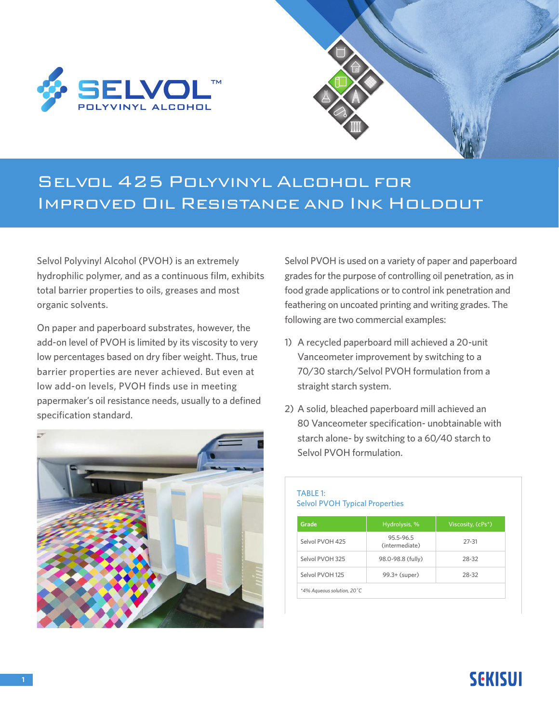



## Selvol 425 Polyvinyl Alcohol for Improved Oil Resistance and Ink Holdout

Selvol Polyvinyl Alcohol (PVOH) is an extremely hydrophilic polymer, and as a continuous film, exhibits total barrier properties to oils, greases and most organic solvents.

On paper and paperboard substrates, however, the add-on level of PVOH is limited by its viscosity to very low percentages based on dry fiber weight. Thus, true barrier properties are never achieved. But even at low add-on levels, PVOH finds use in meeting papermaker's oil resistance needs, usually to a defined specification standard.



Selvol PVOH is used on a variety of paper and paperboard grades for the purpose of controlling oil penetration, as in food grade applications or to control ink penetration and feathering on uncoated printing and writing grades. The following are two commercial examples:

- 1) A recycled paperboard mill achieved a 20-unit Vanceometer improvement by switching to a 70/30 starch/Selvol PVOH formulation from a straight starch system.
- 2) A solid, bleached paperboard mill achieved an 80 Vanceometer specification- unobtainable with starch alone- by switching to a 60/40 starch to Selvol PVOH formulation.

### TABLE 1: Selvol PVOH Typical Properties

| Grade                       | Hydrolysis, %               | Viscosity, (cPs*) |
|-----------------------------|-----------------------------|-------------------|
| Selvol PVOH 425             | 95.5-96.5<br>(intermediate) | $27 - 31$         |
| Selvol PVOH 325             | 98.0-98.8 (fully)           | 28-32             |
| Selvol PVOH 125             | 99.3+ (super)               | 28-32             |
| *4% Aqueous solution, 20 °C |                             |                   |

## **SEKISUI**